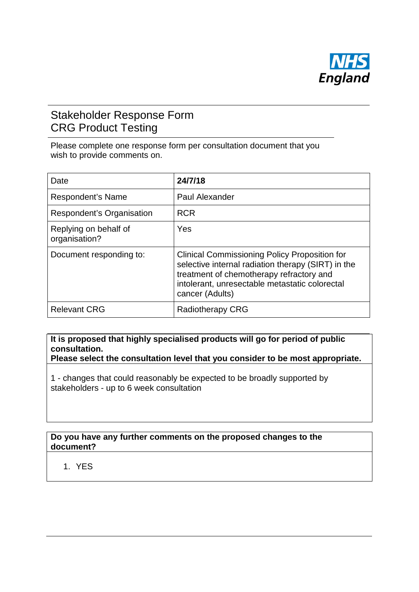

## Stakeholder Response Form CRG Product Testing

Please complete one response form per consultation document that you wish to provide comments on.

| Date                                   | 24/7/18                                                                                                                                                                                                                     |
|----------------------------------------|-----------------------------------------------------------------------------------------------------------------------------------------------------------------------------------------------------------------------------|
| Respondent's Name                      | Paul Alexander                                                                                                                                                                                                              |
| Respondent's Organisation              | <b>RCR</b>                                                                                                                                                                                                                  |
| Replying on behalf of<br>organisation? | Yes                                                                                                                                                                                                                         |
| Document responding to:                | <b>Clinical Commissioning Policy Proposition for</b><br>selective internal radiation therapy (SIRT) in the<br>treatment of chemotherapy refractory and<br>intolerant, unresectable metastatic colorectal<br>cancer (Adults) |
| <b>Relevant CRG</b>                    | <b>Radiotherapy CRG</b>                                                                                                                                                                                                     |

**It is proposed that highly specialised products will go for period of public consultation.**

**Please select the consultation level that you consider to be most appropriate.**

1 - changes that could reasonably be expected to be broadly supported by stakeholders - up to 6 week consultation

## **Do you have any further comments on the proposed changes to the document?**

## 1. YES